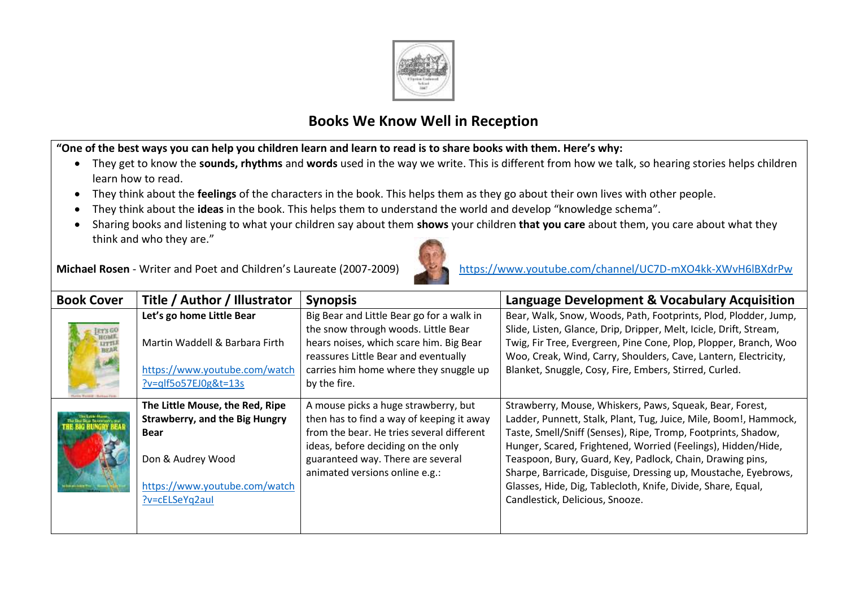

## **Books We Know Well in Reception**

**"One of the best ways you can help you children learn and learn to read is to share books with them. Here's why:**

- They get to know the **sounds, rhythms** and **words** used in the way we write. This is different from how we talk, so hearing stories helps children learn how to read.
- They think about the **feelings** of the characters in the book. This helps them as they go about their own lives with other people.
- They think about the **ideas** in the book. This helps them to understand the world and develop "knowledge schema".
- Sharing books and listening to what your children say about them **shows** your children **that you care** about them, you care about what they think and who they are."



| <b>Book Cover</b> | Title / Author / Illustrator                                                            | <b>Synopsis</b>                                                                                                                                                                  | Language Development & Vocabulary Acquisition                                                                                                                                                                                                                       |
|-------------------|-----------------------------------------------------------------------------------------|----------------------------------------------------------------------------------------------------------------------------------------------------------------------------------|---------------------------------------------------------------------------------------------------------------------------------------------------------------------------------------------------------------------------------------------------------------------|
|                   | Let's go home Little Bear                                                               | Big Bear and Little Bear go for a walk in                                                                                                                                        | Bear, Walk, Snow, Woods, Path, Footprints, Plod, Plodder, Jump,                                                                                                                                                                                                     |
|                   | Martin Waddell & Barbara Firth<br>https://www.youtube.com/watch<br>?v=qlf5o57EJ0g&t=13s | the snow through woods. Little Bear<br>hears noises, which scare him. Big Bear<br>reassures Little Bear and eventually<br>carries him home where they snuggle up<br>by the fire. | Slide, Listen, Glance, Drip, Dripper, Melt, Icicle, Drift, Stream,<br>Twig, Fir Tree, Evergreen, Pine Cone, Plop, Plopper, Branch, Woo<br>Woo, Creak, Wind, Carry, Shoulders, Cave, Lantern, Electricity,<br>Blanket, Snuggle, Cosy, Fire, Embers, Stirred, Curled. |
|                   | The Little Mouse, the Red, Ripe                                                         | A mouse picks a huge strawberry, but                                                                                                                                             | Strawberry, Mouse, Whiskers, Paws, Squeak, Bear, Forest,                                                                                                                                                                                                            |
|                   | <b>Strawberry, and the Big Hungry</b>                                                   | then has to find a way of keeping it away                                                                                                                                        | Ladder, Punnett, Stalk, Plant, Tug, Juice, Mile, Boom!, Hammock,                                                                                                                                                                                                    |
|                   | <b>Bear</b>                                                                             | from the bear. He tries several different<br>ideas, before deciding on the only                                                                                                  | Taste, Smell/Sniff (Senses), Ripe, Tromp, Footprints, Shadow,<br>Hunger, Scared, Frightened, Worried (Feelings), Hidden/Hide,                                                                                                                                       |
|                   | Don & Audrey Wood                                                                       | guaranteed way. There are several<br>animated versions online e.g.:                                                                                                              | Teaspoon, Bury, Guard, Key, Padlock, Chain, Drawing pins,<br>Sharpe, Barricade, Disguise, Dressing up, Moustache, Eyebrows,                                                                                                                                         |
|                   | https://www.youtube.com/watch                                                           |                                                                                                                                                                                  | Glasses, Hide, Dig, Tablecloth, Knife, Divide, Share, Equal,                                                                                                                                                                                                        |
|                   | $?$ v=cELSeYq2aul                                                                       |                                                                                                                                                                                  | Candlestick, Delicious, Snooze.                                                                                                                                                                                                                                     |
|                   |                                                                                         |                                                                                                                                                                                  |                                                                                                                                                                                                                                                                     |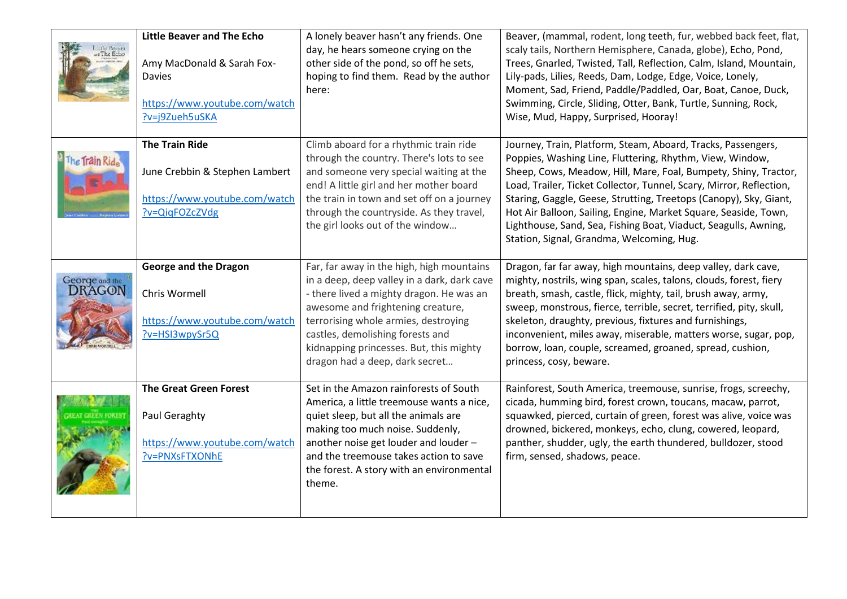| the Bessier.<br>The Echo | <b>Little Beaver and The Echo</b><br>Amy MacDonald & Sarah Fox-<br><b>Davies</b><br>https://www.youtube.com/watch<br>?v=j9Zueh5uSKA | A lonely beaver hasn't any friends. One<br>day, he hears someone crying on the<br>other side of the pond, so off he sets,<br>hoping to find them. Read by the author<br>here:                                                                                                                                                      | Beaver, (mammal, rodent, long teeth, fur, webbed back feet, flat,<br>scaly tails, Northern Hemisphere, Canada, globe), Echo, Pond,<br>Trees, Gnarled, Twisted, Tall, Reflection, Calm, Island, Mountain,<br>Lily-pads, Lilies, Reeds, Dam, Lodge, Edge, Voice, Lonely,<br>Moment, Sad, Friend, Paddle/Paddled, Oar, Boat, Canoe, Duck,<br>Swimming, Circle, Sliding, Otter, Bank, Turtle, Sunning, Rock,<br>Wise, Mud, Happy, Surprised, Hooray!                                                                           |
|--------------------------|-------------------------------------------------------------------------------------------------------------------------------------|------------------------------------------------------------------------------------------------------------------------------------------------------------------------------------------------------------------------------------------------------------------------------------------------------------------------------------|----------------------------------------------------------------------------------------------------------------------------------------------------------------------------------------------------------------------------------------------------------------------------------------------------------------------------------------------------------------------------------------------------------------------------------------------------------------------------------------------------------------------------|
| The Train Ride           | <b>The Train Ride</b><br>June Crebbin & Stephen Lambert<br>https://www.youtube.com/watch<br>?v=QiqFOZcZVdg                          | Climb aboard for a rhythmic train ride<br>through the country. There's lots to see<br>and someone very special waiting at the<br>end! A little girl and her mother board<br>the train in town and set off on a journey<br>through the countryside. As they travel,<br>the girl looks out of the window                             | Journey, Train, Platform, Steam, Aboard, Tracks, Passengers,<br>Poppies, Washing Line, Fluttering, Rhythm, View, Window,<br>Sheep, Cows, Meadow, Hill, Mare, Foal, Bumpety, Shiny, Tractor,<br>Load, Trailer, Ticket Collector, Tunnel, Scary, Mirror, Reflection,<br>Staring, Gaggle, Geese, Strutting, Treetops (Canopy), Sky, Giant,<br>Hot Air Balloon, Sailing, Engine, Market Square, Seaside, Town,<br>Lighthouse, Sand, Sea, Fishing Boat, Viaduct, Seagulls, Awning,<br>Station, Signal, Grandma, Welcoming, Hug. |
| George and the DRAGON    | <b>George and the Dragon</b><br>Chris Wormell<br>https://www.youtube.com/watch<br>?v=HSI3wpySr5Q                                    | Far, far away in the high, high mountains<br>in a deep, deep valley in a dark, dark cave<br>- there lived a mighty dragon. He was an<br>awesome and frightening creature,<br>terrorising whole armies, destroying<br>castles, demolishing forests and<br>kidnapping princesses. But, this mighty<br>dragon had a deep, dark secret | Dragon, far far away, high mountains, deep valley, dark cave,<br>mighty, nostrils, wing span, scales, talons, clouds, forest, fiery<br>breath, smash, castle, flick, mighty, tail, brush away, army,<br>sweep, monstrous, fierce, terrible, secret, terrified, pity, skull,<br>skeleton, draughty, previous, fixtures and furnishings,<br>inconvenient, miles away, miserable, matters worse, sugar, pop,<br>borrow, loan, couple, screamed, groaned, spread, cushion,<br>princess, cosy, beware.                          |
|                          | <b>The Great Green Forest</b><br>Paul Geraghty<br>https://www.youtube.com/watch<br>?v=PNXsFTXONhE                                   | Set in the Amazon rainforests of South<br>America, a little treemouse wants a nice,<br>quiet sleep, but all the animals are<br>making too much noise. Suddenly,<br>another noise get louder and louder -<br>and the treemouse takes action to save<br>the forest. A story with an environmental<br>theme.                          | Rainforest, South America, treemouse, sunrise, frogs, screechy,<br>cicada, humming bird, forest crown, toucans, macaw, parrot,<br>squawked, pierced, curtain of green, forest was alive, voice was<br>drowned, bickered, monkeys, echo, clung, cowered, leopard,<br>panther, shudder, ugly, the earth thundered, bulldozer, stood<br>firm, sensed, shadows, peace.                                                                                                                                                         |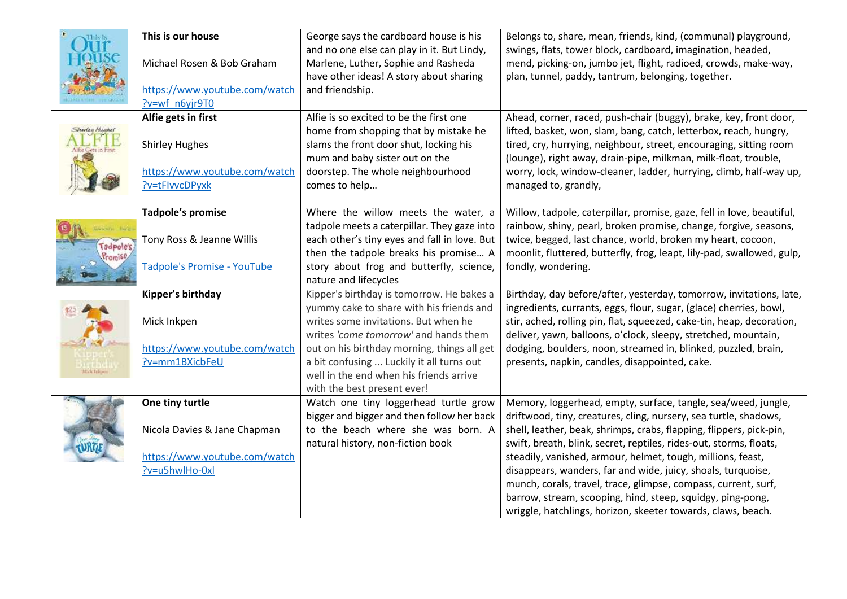|                             | This is our house<br>Michael Rosen & Bob Graham<br>https://www.youtube.com/watch<br>?v=wf n6yjr9T0<br>Alfie gets in first | George says the cardboard house is his<br>and no one else can play in it. But Lindy,<br>Marlene, Luther, Sophie and Rasheda<br>have other ideas! A story about sharing<br>and friendship.<br>Alfie is so excited to be the first one<br>home from shopping that by mistake he | Belongs to, share, mean, friends, kind, (communal) playground,<br>swings, flats, tower block, cardboard, imagination, headed,<br>mend, picking-on, jumbo jet, flight, radioed, crowds, make-way,<br>plan, tunnel, paddy, tantrum, belonging, together.<br>Ahead, corner, raced, push-chair (buggy), brake, key, front door,<br>lifted, basket, won, slam, bang, catch, letterbox, reach, hungry, |
|-----------------------------|---------------------------------------------------------------------------------------------------------------------------|-------------------------------------------------------------------------------------------------------------------------------------------------------------------------------------------------------------------------------------------------------------------------------|--------------------------------------------------------------------------------------------------------------------------------------------------------------------------------------------------------------------------------------------------------------------------------------------------------------------------------------------------------------------------------------------------|
|                             | <b>Shirley Hughes</b><br>https://www.youtube.com/watch<br>?v=tFlvvcDPyxk                                                  | slams the front door shut, locking his<br>mum and baby sister out on the<br>doorstep. The whole neighbourhood<br>comes to help                                                                                                                                                | tired, cry, hurrying, neighbour, street, encouraging, sitting room<br>(lounge), right away, drain-pipe, milkman, milk-float, trouble,<br>worry, lock, window-cleaner, ladder, hurrying, climb, half-way up,<br>managed to, grandly,                                                                                                                                                              |
|                             | Tadpole's promise                                                                                                         | Where the willow meets the water, a<br>tadpole meets a caterpillar. They gaze into                                                                                                                                                                                            | Willow, tadpole, caterpillar, promise, gaze, fell in love, beautiful,<br>rainbow, shiny, pearl, broken promise, change, forgive, seasons,                                                                                                                                                                                                                                                        |
| <b>Tadpole's</b><br>Promise | Tony Ross & Jeanne Willis                                                                                                 | each other's tiny eyes and fall in love. But<br>then the tadpole breaks his promise A                                                                                                                                                                                         | twice, begged, last chance, world, broken my heart, cocoon,<br>moonlit, fluttered, butterfly, frog, leapt, lily-pad, swallowed, gulp,                                                                                                                                                                                                                                                            |
|                             | Tadpole's Promise - YouTube                                                                                               | story about frog and butterfly, science,<br>nature and lifecycles                                                                                                                                                                                                             | fondly, wondering.                                                                                                                                                                                                                                                                                                                                                                               |
|                             | Kipper's birthday                                                                                                         | Kipper's birthday is tomorrow. He bakes a<br>yummy cake to share with his friends and                                                                                                                                                                                         | Birthday, day before/after, yesterday, tomorrow, invitations, late,<br>ingredients, currants, eggs, flour, sugar, (glace) cherries, bowl,                                                                                                                                                                                                                                                        |
|                             | Mick Inkpen                                                                                                               | writes some invitations. But when he<br>writes 'come tomorrow' and hands them                                                                                                                                                                                                 | stir, ached, rolling pin, flat, squeezed, cake-tin, heap, decoration,<br>deliver, yawn, balloons, o'clock, sleepy, stretched, mountain,                                                                                                                                                                                                                                                          |
|                             | https://www.youtube.com/watch                                                                                             | out on his birthday morning, things all get                                                                                                                                                                                                                                   | dodging, boulders, noon, streamed in, blinked, puzzled, brain,                                                                                                                                                                                                                                                                                                                                   |
|                             | ?v=mm1BXicbFeU                                                                                                            | a bit confusing  Luckily it all turns out<br>well in the end when his friends arrive<br>with the best present ever!                                                                                                                                                           | presents, napkin, candles, disappointed, cake.                                                                                                                                                                                                                                                                                                                                                   |
|                             | One tiny turtle                                                                                                           | Watch one tiny loggerhead turtle grow<br>bigger and bigger and then follow her back                                                                                                                                                                                           | Memory, loggerhead, empty, surface, tangle, sea/weed, jungle,<br>driftwood, tiny, creatures, cling, nursery, sea turtle, shadows,                                                                                                                                                                                                                                                                |
|                             | Nicola Davies & Jane Chapman                                                                                              | to the beach where she was born. A<br>natural history, non-fiction book                                                                                                                                                                                                       | shell, leather, beak, shrimps, crabs, flapping, flippers, pick-pin,<br>swift, breath, blink, secret, reptiles, rides-out, storms, floats,                                                                                                                                                                                                                                                        |
|                             | https://www.youtube.com/watch                                                                                             |                                                                                                                                                                                                                                                                               | steadily, vanished, armour, helmet, tough, millions, feast,                                                                                                                                                                                                                                                                                                                                      |
|                             | ?v=u5hwlHo-0xl                                                                                                            |                                                                                                                                                                                                                                                                               | disappears, wanders, far and wide, juicy, shoals, turquoise,<br>munch, corals, travel, trace, glimpse, compass, current, surf,                                                                                                                                                                                                                                                                   |
|                             |                                                                                                                           |                                                                                                                                                                                                                                                                               | barrow, stream, scooping, hind, steep, squidgy, ping-pong,                                                                                                                                                                                                                                                                                                                                       |
|                             |                                                                                                                           |                                                                                                                                                                                                                                                                               | wriggle, hatchlings, horizon, skeeter towards, claws, beach.                                                                                                                                                                                                                                                                                                                                     |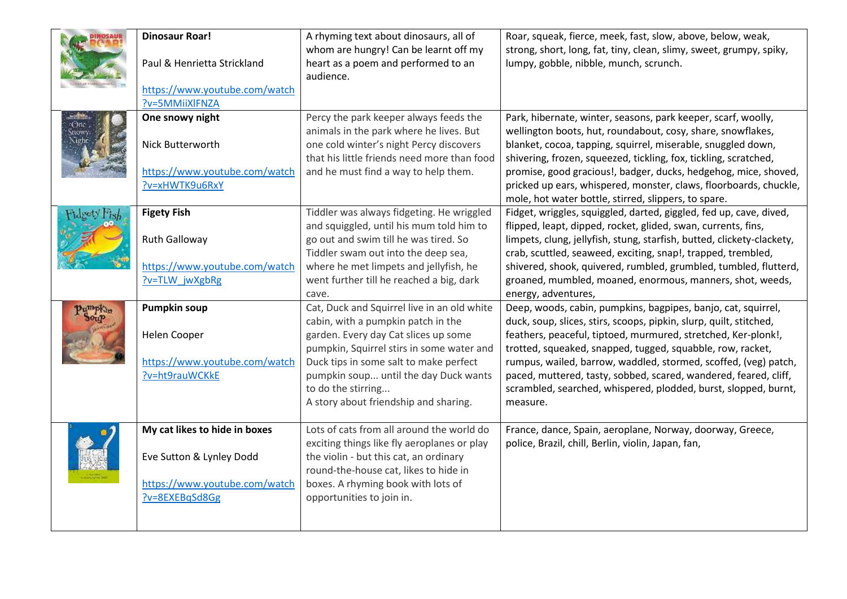|                                | <b>Dinosaur Roar!</b>                           | A rhyming text about dinosaurs, all of                                                                                            | Roar, squeak, fierce, meek, fast, slow, above, below, weak,                                                                                                                                     |
|--------------------------------|-------------------------------------------------|-----------------------------------------------------------------------------------------------------------------------------------|-------------------------------------------------------------------------------------------------------------------------------------------------------------------------------------------------|
|                                | Paul & Henrietta Strickland                     | whom are hungry! Can be learnt off my<br>heart as a poem and performed to an<br>audience.                                         | strong, short, long, fat, tiny, clean, slimy, sweet, grumpy, spiky,<br>lumpy, gobble, nibble, munch, scrunch.                                                                                   |
|                                | https://www.youtube.com/watch<br>?v=5MMiiXlFNZA |                                                                                                                                   |                                                                                                                                                                                                 |
| :One<br><b>Strowy</b><br>Night | One snowy night                                 | Percy the park keeper always feeds the                                                                                            | Park, hibernate, winter, seasons, park keeper, scarf, woolly,                                                                                                                                   |
|                                | Nick Butterworth                                | animals in the park where he lives. But<br>one cold winter's night Percy discovers<br>that his little friends need more than food | wellington boots, hut, roundabout, cosy, share, snowflakes,<br>blanket, cocoa, tapping, squirrel, miserable, snuggled down,<br>shivering, frozen, squeezed, tickling, fox, tickling, scratched, |
|                                | https://www.youtube.com/watch                   | and he must find a way to help them.                                                                                              | promise, good gracious!, badger, ducks, hedgehog, mice, shoved,                                                                                                                                 |
|                                | ?v=xHWTK9u6RxY                                  |                                                                                                                                   | pricked up ears, whispered, monster, claws, floorboards, chuckle,<br>mole, hot water bottle, stirred, slippers, to spare.                                                                       |
| deety Fish                     | <b>Figety Fish</b>                              | Tiddler was always fidgeting. He wriggled                                                                                         | Fidget, wriggles, squiggled, darted, giggled, fed up, cave, dived,                                                                                                                              |
|                                |                                                 | and squiggled, until his mum told him to                                                                                          | flipped, leapt, dipped, rocket, glided, swan, currents, fins,                                                                                                                                   |
|                                | Ruth Galloway                                   | go out and swim till he was tired. So<br>Tiddler swam out into the deep sea,                                                      | limpets, clung, jellyfish, stung, starfish, butted, clickety-clackety,<br>crab, scuttled, seaweed, exciting, snap!, trapped, trembled,                                                          |
|                                | https://www.youtube.com/watch                   | where he met limpets and jellyfish, he                                                                                            | shivered, shook, quivered, rumbled, grumbled, tumbled, flutterd,                                                                                                                                |
|                                | ?v=TLW_jwXgbRg                                  | went further till he reached a big, dark<br>cave.                                                                                 | groaned, mumbled, moaned, enormous, manners, shot, weeds,<br>energy, adventures,                                                                                                                |
|                                | <b>Pumpkin soup</b>                             | Cat, Duck and Squirrel live in an old white                                                                                       | Deep, woods, cabin, pumpkins, bagpipes, banjo, cat, squirrel,                                                                                                                                   |
|                                | Helen Cooper                                    | cabin, with a pumpkin patch in the<br>garden. Every day Cat slices up some                                                        | duck, soup, slices, stirs, scoops, pipkin, slurp, quilt, stitched,<br>feathers, peaceful, tiptoed, murmured, stretched, Ker-plonk!,                                                             |
|                                |                                                 | pumpkin, Squirrel stirs in some water and                                                                                         | trotted, squeaked, snapped, tugged, squabble, row, racket,                                                                                                                                      |
|                                | https://www.youtube.com/watch                   | Duck tips in some salt to make perfect                                                                                            | rumpus, wailed, barrow, waddled, stormed, scoffed, (veg) patch,                                                                                                                                 |
|                                | ?v=ht9rauWCKkE                                  | pumpkin soup until the day Duck wants                                                                                             | paced, muttered, tasty, sobbed, scared, wandered, feared, cliff,                                                                                                                                |
|                                |                                                 | to do the stirring<br>A story about friendship and sharing.                                                                       | scrambled, searched, whispered, plodded, burst, slopped, burnt,<br>measure.                                                                                                                     |
|                                |                                                 |                                                                                                                                   |                                                                                                                                                                                                 |
|                                | My cat likes to hide in boxes                   | Lots of cats from all around the world do                                                                                         | France, dance, Spain, aeroplane, Norway, doorway, Greece,                                                                                                                                       |
|                                | Eve Sutton & Lynley Dodd                        | exciting things like fly aeroplanes or play<br>the violin - but this cat, an ordinary                                             | police, Brazil, chill, Berlin, violin, Japan, fan,                                                                                                                                              |
|                                |                                                 | round-the-house cat, likes to hide in                                                                                             |                                                                                                                                                                                                 |
|                                | https://www.youtube.com/watch                   | boxes. A rhyming book with lots of                                                                                                |                                                                                                                                                                                                 |
|                                | ?v=8EXEBqSd8Gg                                  | opportunities to join in.                                                                                                         |                                                                                                                                                                                                 |
|                                |                                                 |                                                                                                                                   |                                                                                                                                                                                                 |